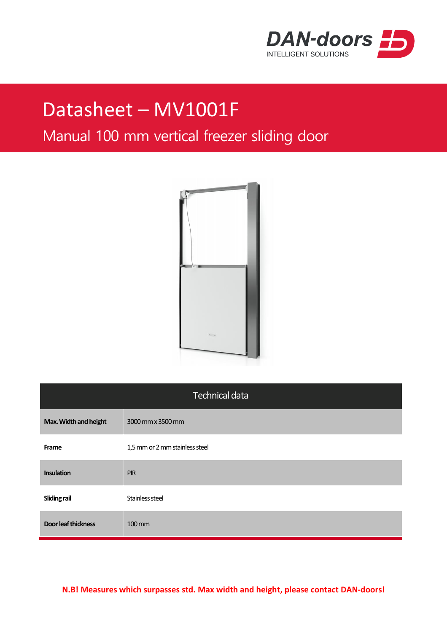

## Datasheet – MV1001F

## Manual 100 mm vertical freezer sliding door



| <b>Technical data</b>      |                                |  |
|----------------------------|--------------------------------|--|
| Max. Width and height      | 3000 mm x 3500 mm              |  |
| Frame                      | 1,5 mm or 2 mm stainless steel |  |
| <b>Insulation</b>          | <b>PIR</b>                     |  |
| <b>Sliding rail</b>        | Stainless steel                |  |
| <b>Door leaf thickness</b> | $100 \, \text{mm}$             |  |

**N.B! Measures which surpasses std. Max width and height, please contact DAN-doors!**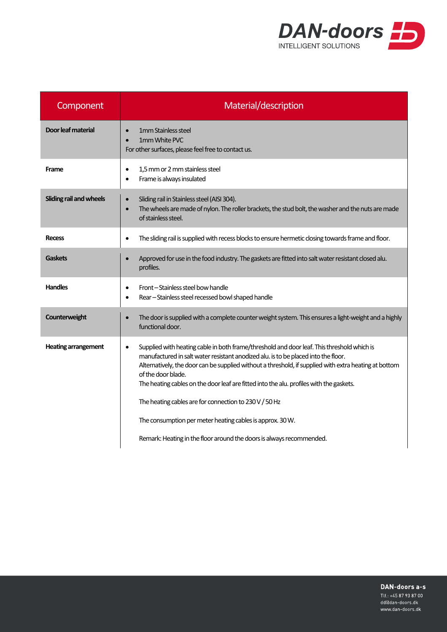

| Component                  | Material/description                                                                                                                                                                                                                                                                                                                                                                                                    |
|----------------------------|-------------------------------------------------------------------------------------------------------------------------------------------------------------------------------------------------------------------------------------------------------------------------------------------------------------------------------------------------------------------------------------------------------------------------|
| Door leaf material         | 1mm Stainless steel<br>1mm White PVC<br>For other surfaces, please feel free to contact us.                                                                                                                                                                                                                                                                                                                             |
| Frame                      | 1,5 mm or 2 mm stainless steel<br>Frame is always insulated<br>$\bullet$                                                                                                                                                                                                                                                                                                                                                |
| Sliding rail and wheels    | Sliding rail in Stainless steel (AISI 304).<br>$\bullet$<br>The wheels are made of nylon. The roller brackets, the stud bolt, the washer and the nuts are made<br>$\bullet$<br>of stainless steel.                                                                                                                                                                                                                      |
| <b>Recess</b>              | The sliding rail is supplied with recess blocks to ensure hermetic closing towards frame and floor.                                                                                                                                                                                                                                                                                                                     |
| <b>Gaskets</b>             | Approved for use in the food industry. The gaskets are fitted into salt water resistant closed alu.<br>profiles.                                                                                                                                                                                                                                                                                                        |
| <b>Handles</b>             | Front-Stainless steel bow handle<br>$\bullet$<br>Rear - Stainless steel recessed bowl shaped handle                                                                                                                                                                                                                                                                                                                     |
| Counterweight              | The door is supplied with a complete counter weight system. This ensures a light-weight and a highly<br>functional door.                                                                                                                                                                                                                                                                                                |
| <b>Heating arrangement</b> | Supplied with heating cable in both frame/threshold and door leaf. This threshold which is<br>$\bullet$<br>manufactured in salt water resistant anodized alu. is to be placed into the floor.<br>Alternatively, the door can be supplied without a threshold, if supplied with extra heating at bottom<br>of the door blade.<br>The heating cables on the door leaf are fitted into the alu. profiles with the gaskets. |
|                            | The heating cables are for connection to 230 V / 50 Hz                                                                                                                                                                                                                                                                                                                                                                  |
|                            | The consumption per meter heating cables is approx. 30 W.                                                                                                                                                                                                                                                                                                                                                               |
|                            | Remark: Heating in the floor around the doors is always recommended.                                                                                                                                                                                                                                                                                                                                                    |

DAN-doors a-s

Tlf.: +45 87 93 87 00 dd@dan-doors.dk www.dan-doors.dk